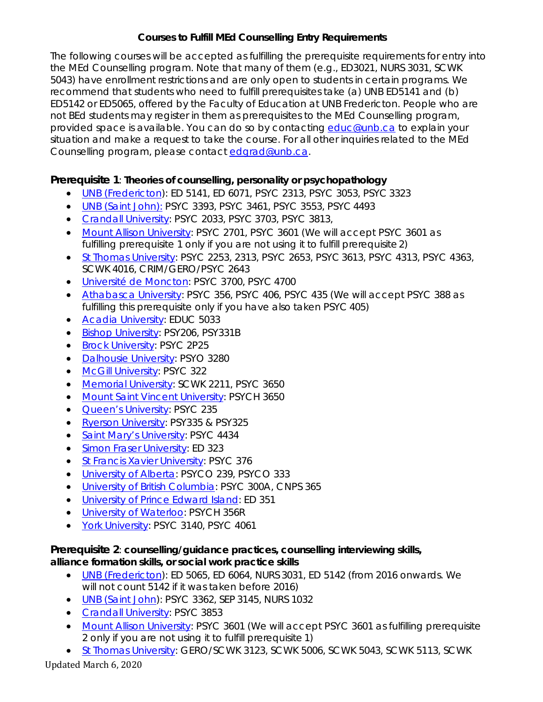# **Courses to Fulfill MEd Counselling Entry Requirements**

The following courses will be accepted as fulfilling the prerequisite requirements for entry into the MEd Counselling program. Note that many of them (e.g., ED3021, NURS 3031, SCWK 5043) have enrollment restrictions and are only open to students in certain programs. We recommend that students who need to fulfill prerequisites take (a) UNB ED5141 and (b) ED5142 or ED5065, offered by the Faculty of Education at UNB Fredericton. People who are not BEd students may register in them as prerequisites to the MEd Counselling program, provided space is available. You can do so by contacting [educ@unb.ca](mailto:educ@unb.ca) to explain your situation and make a request to take the course. For all other inquiries related to the MEd Counselling program, please contact [edgrad@unb.ca.](mailto:edgrad@unb.ca)

# **Prerequisite 1**: **Theories of counselling, personality or psychopathology**

- *[UNB \(Fredericton\)](http://es.unb.ca/apps/timetable/)*: ED 5141, ED 6071, PSYC 2313, PSYC 3053, PSYC 3323
- *UNB [\(Saint John\)](http://es.unb.ca/apps/timetable/)*[:](http://es.unb.ca/apps/timetable/) PSYC 3393, PSYC 3461, PSYC 3553, PSYC 4493
- *[Crandall University](https://www.crandallu.ca/registrar/)*: PSYC 2033, PSYC 3703, PSYC 3813,
- *[Mount Allison University](https://www.mta.ca/Community/Academics/Faculty_of_Social_Sciences/Commerce/Courses_and_timetable/Courses_and_timetable/)*: PSYC 2701, PSYC 3601 (We will accept PSYC 3601 as fulfilling prerequisite 1 only if you are not using it to fulfill prerequisite2)
- *[St Thomas University](https://www.stu.ca/registrar/)*: PSYC 2253, 2313, PSYC 2653, PSYC 3613, PSYC 4313, PSYC 4363, SCWK 4016, CRIM/GERO/PSYC 2643
- *[Université de Moncton](https://www.umoncton.ca/repertoire/dates)*: PSYC 3700, PSYC 4700
- *[Athabasca University](http://calendar.athabascau.ca/undergrad/current/courses/index.php)*: PSYC 356, PSYC 406, PSYC 435 (We will accept PSYC 388 as fulfilling this prerequisite only if you have also taken PSYC 405)
- *[Acadia University](https://central2.acadiau.ca/registrar/timetable)*: EDUC 5033
- *[Bishop University](https://www.ubishops.ca/future-current-students/registration-and-student-records/timetable/)*: PSY206, PSY331B
- *[Brock University](https://brocku.ca/guides-and-timetables/timetables/)*: PSYC 2P25
- *[Dalhousie University](https://www.dal.ca/academics/academic_timetable.html)*: PSYO 3280
- *[McGill University](https://www.mcgill.ca/study/2018-2019/university_regulations_and_resources/undergraduate/gi_course_info_regulations_class_schedule)*: PSYC 322
- *[Memorial University](https://www.mun.ca/regoff/registration/course-offerings/index.php)*: SCWK 2211, PSYC 3650
- *[Mount Saint Vincent University](https://webadvisor.msvu.ca/WebAdvisor/MSVU?TOKENIDX=4793055891&SS=1&APP=ST)*: PSYCH 3650
- *[Queen's University](https://www.queensu.ca/devs/undergraduate/courses-and-timetable)*: PSYC 235
- *[Ryerson University](https://www.ryerson.ca/calendar/)*: PSY335 & PSY325
- *[Saint Mary's University](https://smu.ca/academics/ar-choose-your-courses.html)*: PSYC 4434
- *[Simon Fraser University](https://www.sfu.ca/students/enrollment/schedule.html)*: ED 323
- *[St Francis Xavier University](https://www2.mystfx.ca/registrars-office/academic-calendars)*: PSYC 376
- *[University of Alberta](https://calendar.ualberta.ca/content.php?catoid=29&navoid=7430)*: PSYCO 239, PSYCO 333
- *[University of British Columbia](https://courses.students.ubc.ca/cs/courseschedule)*: PSYC 300A, CNPS 365
- *[University of Prince Edward Island](https://www.upei.ca/course-catalogue)*: ED 351
- *[University of Waterloo](https://cs.uwaterloo.ca/cscf/teaching/schedule/expert)*: PSYCH 356R
- *[York University](https://w2prod.sis.yorku.ca/Apps/WebObjects/cdm)*: PSYC 3140, PSYC 4061

### **Prerequisite 2**: **counselling/guidance practices, counselling interviewing skills, alliance formation skills, or social work practice skills**

- *[UNB \(Fredericton\)](http://es.unb.ca/apps/timetable/)*: ED 5065, ED 6064, NURS 3031, ED 5142 (from 2016 onwards. We will not count 5142 if it was taken before 2016)
- *[UNB \(Saint John\)](http://es.unb.ca/apps/timetable/)*: PSYC 3362, SEP 3145, NURS 1032
- *[Crandall University](https://www.crandallu.ca/registrar/)*: PSYC 3853
- *[Mount Allison University](https://www.mta.ca/Community/Academics/Faculty_of_Social_Sciences/Commerce/Courses_and_timetable/Courses_and_timetable/)*: PSYC 3601 (We will accept PSYC 3601 as fulfilling prerequisite 2 only if you are not using it to fulfill prerequisite 1)
- *[St Thomas University](https://www.stu.ca/registrar/)*: GERO/SCWK 3123, SCWK 5006, SCWK 5043, SCWK 5113, SCWK